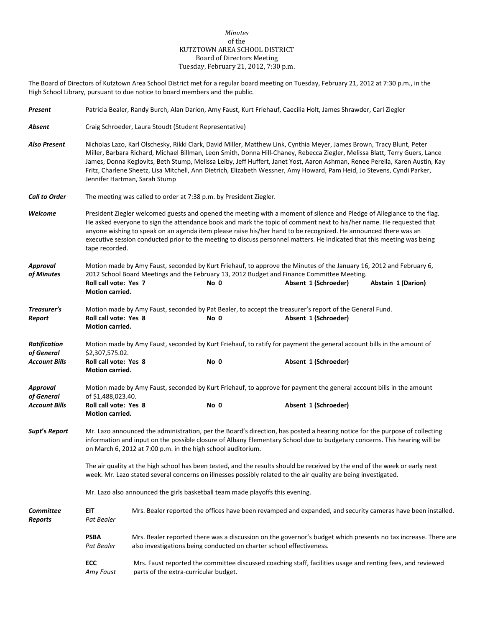## *Minutes* of the KUTZTOWN AREA SCHOOL DISTRICT Board of Directors Meeting Tuesday, February 21, 2012, 7:30 p.m.

The Board of Directors of Kutztown Area School District met for a regular board meeting on Tuesday, February 21, 2012 at 7:30 p.m., in the High School Library, pursuant to due notice to board members and the public.

| Present                            | Patricia Bealer, Randy Burch, Alan Darion, Amy Faust, Kurt Friehauf, Caecilia Holt, James Shrawder, Carl Ziegler                                                                                                                                                                                                                                                                                                                                                                                                                                 |                                                                                                                       |                                       |                                                                                                                                                                                        |                    |  |
|------------------------------------|--------------------------------------------------------------------------------------------------------------------------------------------------------------------------------------------------------------------------------------------------------------------------------------------------------------------------------------------------------------------------------------------------------------------------------------------------------------------------------------------------------------------------------------------------|-----------------------------------------------------------------------------------------------------------------------|---------------------------------------|----------------------------------------------------------------------------------------------------------------------------------------------------------------------------------------|--------------------|--|
| Absent                             | Craig Schroeder, Laura Stoudt (Student Representative)                                                                                                                                                                                                                                                                                                                                                                                                                                                                                           |                                                                                                                       |                                       |                                                                                                                                                                                        |                    |  |
| <b>Also Present</b>                | Nicholas Lazo, Karl Olschesky, Rikki Clark, David Miller, Matthew Link, Cynthia Meyer, James Brown, Tracy Blunt, Peter<br>Miller, Barbara Richard, Michael Billman, Leon Smith, Donna Hill-Chaney, Rebecca Ziegler, Melissa Blatt, Terry Guers, Lance<br>James, Donna Keglovits, Beth Stump, Melissa Leiby, Jeff Huffert, Janet Yost, Aaron Ashman, Renee Perella, Karen Austin, Kay<br>Fritz, Charlene Sheetz, Lisa Mitchell, Ann Dietrich, Elizabeth Wessner, Amy Howard, Pam Heid, Jo Stevens, Cyndi Parker,<br>Jennifer Hartman, Sarah Stump |                                                                                                                       |                                       |                                                                                                                                                                                        |                    |  |
| <b>Call to Order</b>               | The meeting was called to order at 7:38 p.m. by President Ziegler.                                                                                                                                                                                                                                                                                                                                                                                                                                                                               |                                                                                                                       |                                       |                                                                                                                                                                                        |                    |  |
| Welcome                            | President Ziegler welcomed guests and opened the meeting with a moment of silence and Pledge of Allegiance to the flag.<br>He asked everyone to sign the attendance book and mark the topic of comment next to his/her name. He requested that<br>anyone wishing to speak on an agenda item please raise his/her hand to be recognized. He announced there was an<br>executive session conducted prior to the meeting to discuss personnel matters. He indicated that this meeting was being<br>tape recorded.                                   |                                                                                                                       |                                       |                                                                                                                                                                                        |                    |  |
| Approval                           | Motion made by Amy Faust, seconded by Kurt Friehauf, to approve the Minutes of the January 16, 2012 and February 6,                                                                                                                                                                                                                                                                                                                                                                                                                              |                                                                                                                       |                                       |                                                                                                                                                                                        |                    |  |
| of Minutes                         | Roll call vote: Yes 7<br>Motion carried.                                                                                                                                                                                                                                                                                                                                                                                                                                                                                                         |                                                                                                                       | No 0                                  | 2012 School Board Meetings and the February 13, 2012 Budget and Finance Committee Meeting.<br>Absent 1 (Schroeder)                                                                     | Abstain 1 (Darion) |  |
| Treasurer's<br>Report              | Roll call vote: Yes 8<br>Motion carried.                                                                                                                                                                                                                                                                                                                                                                                                                                                                                                         |                                                                                                                       | No 0                                  | Motion made by Amy Faust, seconded by Pat Bealer, to accept the treasurer's report of the General Fund.<br>Absent 1 (Schroeder)                                                        |                    |  |
| <b>Ratification</b><br>of General  | \$2,307,575.02.                                                                                                                                                                                                                                                                                                                                                                                                                                                                                                                                  | Motion made by Amy Faust, seconded by Kurt Friehauf, to ratify for payment the general account bills in the amount of |                                       |                                                                                                                                                                                        |                    |  |
| <b>Account Bills</b>               | Roll call vote: Yes 8<br>Motion carried.                                                                                                                                                                                                                                                                                                                                                                                                                                                                                                         |                                                                                                                       | No 0                                  | Absent 1 (Schroeder)                                                                                                                                                                   |                    |  |
| <b>Approval</b><br>of General      | Motion made by Amy Faust, seconded by Kurt Friehauf, to approve for payment the general account bills in the amount<br>of \$1,488,023.40.                                                                                                                                                                                                                                                                                                                                                                                                        |                                                                                                                       |                                       |                                                                                                                                                                                        |                    |  |
| <b>Account Bills</b>               | Roll call vote: Yes 8<br>Motion carried.                                                                                                                                                                                                                                                                                                                                                                                                                                                                                                         |                                                                                                                       | No 0                                  | Absent 1 (Schroeder)                                                                                                                                                                   |                    |  |
| Supt's Report                      | Mr. Lazo announced the administration, per the Board's direction, has posted a hearing notice for the purpose of collecting<br>information and input on the possible closure of Albany Elementary School due to budgetary concerns. This hearing will be<br>on March 6, 2012 at 7:00 p.m. in the high school auditorium.                                                                                                                                                                                                                         |                                                                                                                       |                                       |                                                                                                                                                                                        |                    |  |
|                                    | The air quality at the high school has been tested, and the results should be received by the end of the week or early next<br>week. Mr. Lazo stated several concerns on illnesses possibly related to the air quality are being investigated.                                                                                                                                                                                                                                                                                                   |                                                                                                                       |                                       |                                                                                                                                                                                        |                    |  |
|                                    | Mr. Lazo also announced the girls basketball team made playoffs this evening.                                                                                                                                                                                                                                                                                                                                                                                                                                                                    |                                                                                                                       |                                       |                                                                                                                                                                                        |                    |  |
| <b>Committee</b><br><b>Reports</b> | EIT<br>Pat Bealer                                                                                                                                                                                                                                                                                                                                                                                                                                                                                                                                |                                                                                                                       |                                       | Mrs. Bealer reported the offices have been revamped and expanded, and security cameras have been installed.                                                                            |                    |  |
|                                    | <b>PSBA</b><br>Pat Bealer                                                                                                                                                                                                                                                                                                                                                                                                                                                                                                                        |                                                                                                                       |                                       | Mrs. Bealer reported there was a discussion on the governor's budget which presents no tax increase. There are<br>also investigations being conducted on charter school effectiveness. |                    |  |
|                                    | ECC<br>Amy Faust                                                                                                                                                                                                                                                                                                                                                                                                                                                                                                                                 |                                                                                                                       | parts of the extra-curricular budget. | Mrs. Faust reported the committee discussed coaching staff, facilities usage and renting fees, and reviewed                                                                            |                    |  |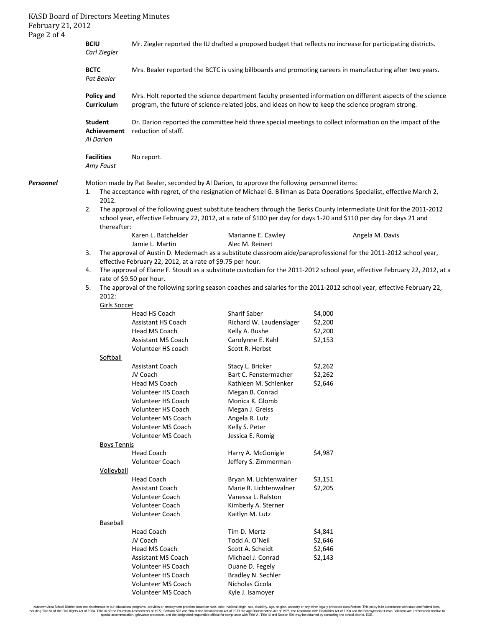| February 21, 2012<br>Page 2 of 4 | <b>KASD Board of Directors Meeting Minutes</b>                                                                                                                                                                                       |                                                                                                                                                                                                                                              |                                              |                                                                                                                             |  |  |  |
|----------------------------------|--------------------------------------------------------------------------------------------------------------------------------------------------------------------------------------------------------------------------------------|----------------------------------------------------------------------------------------------------------------------------------------------------------------------------------------------------------------------------------------------|----------------------------------------------|-----------------------------------------------------------------------------------------------------------------------------|--|--|--|
|                                  | <b>BCIU</b><br>Carl Ziegler                                                                                                                                                                                                          | Mr. Ziegler reported the IU drafted a proposed budget that reflects no increase for participating districts.                                                                                                                                 |                                              |                                                                                                                             |  |  |  |
| <b>BCTC</b><br>Pat Bealer        |                                                                                                                                                                                                                                      | Mrs. Bealer reported the BCTC is using billboards and promoting careers in manufacturing after two years.                                                                                                                                    |                                              |                                                                                                                             |  |  |  |
|                                  | <b>Policy and</b><br>Curriculum                                                                                                                                                                                                      | Mrs. Holt reported the science department faculty presented information on different aspects of the science<br>program, the future of science-related jobs, and ideas on how to keep the science program strong.                             |                                              |                                                                                                                             |  |  |  |
|                                  | <b>Student</b><br><b>Achievement</b><br><b>Al Darion</b>                                                                                                                                                                             | Dr. Darion reported the committee held three special meetings to collect information on the impact of the<br>reduction of staff.                                                                                                             |                                              |                                                                                                                             |  |  |  |
|                                  | <b>Facilities</b><br>Amy Faust                                                                                                                                                                                                       | No report.                                                                                                                                                                                                                                   |                                              |                                                                                                                             |  |  |  |
| <b>Personnel</b>                 | Motion made by Pat Bealer, seconded by Al Darion, to approve the following personnel items:<br>The acceptance with regret, of the resignation of Michael G. Billman as Data Operations Specialist, effective March 2,<br>1.<br>2012. |                                                                                                                                                                                                                                              |                                              |                                                                                                                             |  |  |  |
|                                  | 2.<br>thereafter:                                                                                                                                                                                                                    | The approval of the following guest substitute teachers through the Berks County Intermediate Unit for the 2011-2012<br>school year, effective February 22, 2012, at a rate of \$100 per day for days 1-20 and \$110 per day for days 21 and |                                              |                                                                                                                             |  |  |  |
|                                  |                                                                                                                                                                                                                                      | Karen L. Batchelder                                                                                                                                                                                                                          | Marianne E. Cawley                           | Angela M. Davis                                                                                                             |  |  |  |
|                                  |                                                                                                                                                                                                                                      | Jamie L. Martin                                                                                                                                                                                                                              | Alec M. Reinert                              |                                                                                                                             |  |  |  |
|                                  | 3.                                                                                                                                                                                                                                   |                                                                                                                                                                                                                                              |                                              | The approval of Austin D. Medernach as a substitute classroom aide/paraprofessional for the 2011-2012 school year,          |  |  |  |
|                                  |                                                                                                                                                                                                                                      | effective February 22, 2012, at a rate of \$9.75 per hour.                                                                                                                                                                                   |                                              |                                                                                                                             |  |  |  |
|                                  | 4.                                                                                                                                                                                                                                   |                                                                                                                                                                                                                                              |                                              | The approval of Elaine F. Stoudt as a substitute custodian for the 2011-2012 school year, effective February 22, 2012, at a |  |  |  |
|                                  | 5.                                                                                                                                                                                                                                   | rate of \$9.50 per hour.                                                                                                                                                                                                                     |                                              | The approval of the following spring season coaches and salaries for the 2011-2012 school year, effective February 22,      |  |  |  |
|                                  | 2012:<br>Girls Soccer                                                                                                                                                                                                                |                                                                                                                                                                                                                                              |                                              |                                                                                                                             |  |  |  |
|                                  |                                                                                                                                                                                                                                      | Head HS Coach                                                                                                                                                                                                                                | <b>Sharif Saber</b>                          | \$4,000                                                                                                                     |  |  |  |
|                                  |                                                                                                                                                                                                                                      | <b>Assistant HS Coach</b>                                                                                                                                                                                                                    | Richard W. Laudenslager                      | \$2,200                                                                                                                     |  |  |  |
|                                  |                                                                                                                                                                                                                                      | Head MS Coach                                                                                                                                                                                                                                | Kelly A. Bushe                               | \$2,200                                                                                                                     |  |  |  |
|                                  |                                                                                                                                                                                                                                      | Assistant MS Coach                                                                                                                                                                                                                           | Carolynne E. Kahl                            | \$2,153                                                                                                                     |  |  |  |
|                                  |                                                                                                                                                                                                                                      | Volunteer HS coach                                                                                                                                                                                                                           | Scott R. Herbst                              |                                                                                                                             |  |  |  |
|                                  | Softball                                                                                                                                                                                                                             |                                                                                                                                                                                                                                              |                                              |                                                                                                                             |  |  |  |
|                                  |                                                                                                                                                                                                                                      | Assistant Coach<br>JV Coach                                                                                                                                                                                                                  | Stacy L. Bricker<br>Bart C. Fenstermacher    | \$2,262                                                                                                                     |  |  |  |
|                                  |                                                                                                                                                                                                                                      | Head MS Coach                                                                                                                                                                                                                                | Kathleen M. Schlenker                        | \$2,262<br>\$2,646                                                                                                          |  |  |  |
|                                  |                                                                                                                                                                                                                                      | Volunteer HS Coach                                                                                                                                                                                                                           | Megan B. Conrad                              |                                                                                                                             |  |  |  |
|                                  |                                                                                                                                                                                                                                      | Volunteer HS Coach                                                                                                                                                                                                                           | Monica K. Glomb                              |                                                                                                                             |  |  |  |
|                                  |                                                                                                                                                                                                                                      | Volunteer HS Coach                                                                                                                                                                                                                           | Megan J. Greiss                              |                                                                                                                             |  |  |  |
|                                  |                                                                                                                                                                                                                                      | <b>Volunteer MS Coach</b>                                                                                                                                                                                                                    | Angela R. Lutz                               |                                                                                                                             |  |  |  |
|                                  |                                                                                                                                                                                                                                      | Volunteer MS Coach                                                                                                                                                                                                                           | Kelly S. Peter                               |                                                                                                                             |  |  |  |
|                                  |                                                                                                                                                                                                                                      | <b>Volunteer MS Coach</b>                                                                                                                                                                                                                    | Jessica E. Romig                             |                                                                                                                             |  |  |  |
|                                  | <b>Boys Tennis</b>                                                                                                                                                                                                                   |                                                                                                                                                                                                                                              |                                              |                                                                                                                             |  |  |  |
|                                  |                                                                                                                                                                                                                                      | <b>Head Coach</b>                                                                                                                                                                                                                            | Harry A. McGonigle                           | \$4,987                                                                                                                     |  |  |  |
|                                  |                                                                                                                                                                                                                                      | <b>Volunteer Coach</b>                                                                                                                                                                                                                       | Jeffery S. Zimmerman                         |                                                                                                                             |  |  |  |
|                                  | Volleyball                                                                                                                                                                                                                           |                                                                                                                                                                                                                                              |                                              |                                                                                                                             |  |  |  |
|                                  |                                                                                                                                                                                                                                      | <b>Head Coach</b>                                                                                                                                                                                                                            | Bryan M. Lichtenwalner                       | \$3,151                                                                                                                     |  |  |  |
|                                  |                                                                                                                                                                                                                                      | <b>Assistant Coach</b><br><b>Volunteer Coach</b>                                                                                                                                                                                             | Marie R. Lichtenwalner<br>Vanessa L. Ralston | \$2,205                                                                                                                     |  |  |  |
|                                  |                                                                                                                                                                                                                                      | <b>Volunteer Coach</b>                                                                                                                                                                                                                       | Kimberly A. Sterner                          |                                                                                                                             |  |  |  |
|                                  |                                                                                                                                                                                                                                      | Volunteer Coach                                                                                                                                                                                                                              | Kaitlyn M. Lutz                              |                                                                                                                             |  |  |  |
|                                  | Baseball                                                                                                                                                                                                                             |                                                                                                                                                                                                                                              |                                              |                                                                                                                             |  |  |  |
|                                  |                                                                                                                                                                                                                                      | <b>Head Coach</b>                                                                                                                                                                                                                            | Tim D. Mertz                                 | \$4,841                                                                                                                     |  |  |  |
|                                  |                                                                                                                                                                                                                                      | JV Coach                                                                                                                                                                                                                                     | Todd A. O'Neil                               | \$2,646                                                                                                                     |  |  |  |
|                                  |                                                                                                                                                                                                                                      | Head MS Coach                                                                                                                                                                                                                                | Scott A. Scheidt                             | \$2,646                                                                                                                     |  |  |  |
|                                  |                                                                                                                                                                                                                                      | <b>Assistant MS Coach</b>                                                                                                                                                                                                                    | Michael J. Conrad                            | \$2,143                                                                                                                     |  |  |  |
|                                  |                                                                                                                                                                                                                                      | Volunteer HS Coach                                                                                                                                                                                                                           | Duane D. Fegely                              |                                                                                                                             |  |  |  |
|                                  |                                                                                                                                                                                                                                      | Volunteer HS Coach                                                                                                                                                                                                                           | Bradley N. Sechler                           |                                                                                                                             |  |  |  |
|                                  |                                                                                                                                                                                                                                      | Volunteer MS Coach                                                                                                                                                                                                                           | Nicholas Cicola                              |                                                                                                                             |  |  |  |
|                                  |                                                                                                                                                                                                                                      | Volunteer MS Coach                                                                                                                                                                                                                           | Kyle J. Isamoyer                             |                                                                                                                             |  |  |  |

Kutztown Area School District does not discriminate in our educational programs, activities or employment practices based on race, color, national orgion, ance, althan and proposed, relation, ancestry or any shere begins t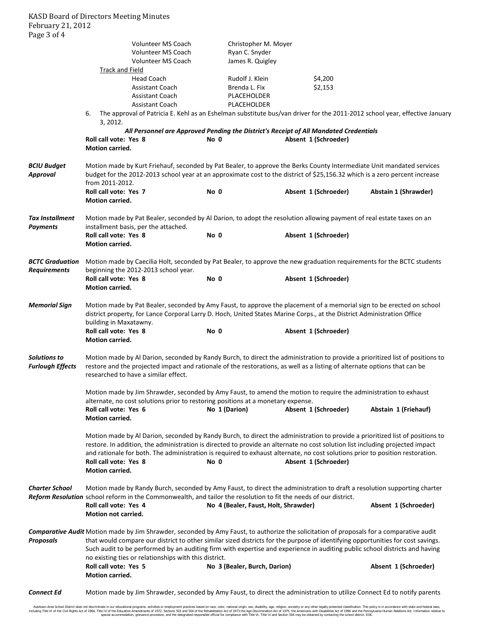KASD Board of Directors Meeting Minutes February 21, 2012 Page 3 of 4

| $1 \, \text{u}_{22} \circ \text{u}_{11}$ |                                                                                                                                              |                                      |                                                                                       |                      |  |  |  |
|------------------------------------------|----------------------------------------------------------------------------------------------------------------------------------------------|--------------------------------------|---------------------------------------------------------------------------------------|----------------------|--|--|--|
|                                          | <b>Volunteer MS Coach</b>                                                                                                                    | Christopher M. Moyer                 |                                                                                       |                      |  |  |  |
|                                          | Volunteer MS Coach                                                                                                                           | Ryan C. Snyder                       |                                                                                       |                      |  |  |  |
|                                          | Volunteer MS Coach                                                                                                                           | James R. Quigley                     |                                                                                       |                      |  |  |  |
|                                          | Track and Field                                                                                                                              |                                      |                                                                                       |                      |  |  |  |
|                                          | <b>Head Coach</b>                                                                                                                            | Rudolf J. Klein                      | \$4,200                                                                               |                      |  |  |  |
|                                          | <b>Assistant Coach</b>                                                                                                                       | Brenda L. Fix                        | \$2,153                                                                               |                      |  |  |  |
|                                          |                                                                                                                                              |                                      |                                                                                       |                      |  |  |  |
|                                          | <b>Assistant Coach</b>                                                                                                                       | PLACEHOLDER                          |                                                                                       |                      |  |  |  |
|                                          | <b>Assistant Coach</b>                                                                                                                       | PLACEHOLDER                          |                                                                                       |                      |  |  |  |
|                                          | The approval of Patricia E. Kehl as an Eshelman substitute bus/van driver for the 2011-2012 school year, effective January<br>6.<br>3, 2012. |                                      |                                                                                       |                      |  |  |  |
|                                          |                                                                                                                                              |                                      | All Personnel are Approved Pending the District's Receipt of All Mandated Credentials |                      |  |  |  |
|                                          | Roll call vote: Yes 8                                                                                                                        | No 0                                 | Absent 1 (Schroeder)                                                                  |                      |  |  |  |
|                                          | Motion carried.                                                                                                                              |                                      |                                                                                       |                      |  |  |  |
|                                          |                                                                                                                                              |                                      |                                                                                       |                      |  |  |  |
| <b>BCIU Budget</b>                       | Motion made by Kurt Friehauf, seconded by Pat Bealer, to approve the Berks County Intermediate Unit mandated services                        |                                      |                                                                                       |                      |  |  |  |
| <b>Approval</b>                          | budget for the 2012-2013 school year at an approximate cost to the district of \$25,156.32 which is a zero percent increase                  |                                      |                                                                                       |                      |  |  |  |
|                                          | from 2011-2012.                                                                                                                              |                                      |                                                                                       |                      |  |  |  |
|                                          | Roll call vote: Yes 7                                                                                                                        | No 0                                 | Absent 1 (Schroeder)                                                                  | Abstain 1 (Shrawder) |  |  |  |
|                                          | <b>Motion carried.</b>                                                                                                                       |                                      |                                                                                       |                      |  |  |  |
|                                          |                                                                                                                                              |                                      |                                                                                       |                      |  |  |  |
| <b>Tax Installment</b>                   | Motion made by Pat Bealer, seconded by Al Darion, to adopt the resolution allowing payment of real estate taxes on an                        |                                      |                                                                                       |                      |  |  |  |
|                                          |                                                                                                                                              |                                      |                                                                                       |                      |  |  |  |
| <b>Payments</b>                          | installment basis, per the attached.                                                                                                         |                                      |                                                                                       |                      |  |  |  |
|                                          | Roll call vote: Yes 8                                                                                                                        | No 0                                 | Absent 1 (Schroeder)                                                                  |                      |  |  |  |
|                                          | Motion carried.                                                                                                                              |                                      |                                                                                       |                      |  |  |  |
|                                          |                                                                                                                                              |                                      |                                                                                       |                      |  |  |  |
| <b>BCTC Graduation</b>                   | Motion made by Caecilia Holt, seconded by Pat Bealer, to approve the new graduation requirements for the BCTC students                       |                                      |                                                                                       |                      |  |  |  |
| <b>Requirements</b>                      | beginning the 2012-2013 school year.                                                                                                         |                                      |                                                                                       |                      |  |  |  |
|                                          | Roll call vote: Yes 8                                                                                                                        | No 0                                 | Absent 1 (Schroeder)                                                                  |                      |  |  |  |
|                                          | Motion carried.                                                                                                                              |                                      |                                                                                       |                      |  |  |  |
|                                          |                                                                                                                                              |                                      |                                                                                       |                      |  |  |  |
| <b>Memorial Sign</b>                     | Motion made by Pat Bealer, seconded by Amy Faust, to approve the placement of a memorial sign to be erected on school                        |                                      |                                                                                       |                      |  |  |  |
|                                          | district property, for Lance Corporal Larry D. Hoch, United States Marine Corps., at the District Administration Office                      |                                      |                                                                                       |                      |  |  |  |
|                                          | building in Maxatawny.                                                                                                                       |                                      |                                                                                       |                      |  |  |  |
|                                          | Roll call vote: Yes 8                                                                                                                        | No 0                                 | Absent 1 (Schroeder)                                                                  |                      |  |  |  |
|                                          | Motion carried.                                                                                                                              |                                      |                                                                                       |                      |  |  |  |
|                                          |                                                                                                                                              |                                      |                                                                                       |                      |  |  |  |
| Solutions to                             | Motion made by Al Darion, seconded by Randy Burch, to direct the administration to provide a prioritized list of positions to                |                                      |                                                                                       |                      |  |  |  |
|                                          |                                                                                                                                              |                                      |                                                                                       |                      |  |  |  |
| <b>Furlough Effects</b>                  | restore and the projected impact and rationale of the restorations, as well as a listing of alternate options that can be                    |                                      |                                                                                       |                      |  |  |  |
|                                          | researched to have a similar effect.                                                                                                         |                                      |                                                                                       |                      |  |  |  |
|                                          |                                                                                                                                              |                                      |                                                                                       |                      |  |  |  |
|                                          | Motion made by Jim Shrawder, seconded by Amy Faust, to amend the motion to require the administration to exhaust                             |                                      |                                                                                       |                      |  |  |  |
|                                          | alternate, no cost solutions prior to restoring positions at a monetary expense.                                                             |                                      |                                                                                       |                      |  |  |  |
|                                          | Roll call vote: Yes 6                                                                                                                        | No 1 (Darion)                        | Absent 1 (Schroeder)                                                                  | Abstain 1 (Friehauf) |  |  |  |
|                                          | Motion carried.                                                                                                                              |                                      |                                                                                       |                      |  |  |  |
|                                          |                                                                                                                                              |                                      |                                                                                       |                      |  |  |  |
|                                          | Motion made by Al Darion, seconded by Randy Burch, to direct the administration to provide a prioritized list of positions to                |                                      |                                                                                       |                      |  |  |  |
|                                          | restore. In addition, the administration is directed to provide an alternate no cost solution list including projected impact                |                                      |                                                                                       |                      |  |  |  |
|                                          | and rationale for both. The administration is required to exhaust alternate, no cost solutions prior to position restoration.                |                                      |                                                                                       |                      |  |  |  |
|                                          | Roll call vote: Yes 8                                                                                                                        | No 0                                 | Absent 1 (Schroeder)                                                                  |                      |  |  |  |
|                                          | Motion carried.                                                                                                                              |                                      |                                                                                       |                      |  |  |  |
|                                          |                                                                                                                                              |                                      |                                                                                       |                      |  |  |  |
| <b>Charter School</b>                    | Motion made by Randy Burch, seconded by Amy Faust, to direct the administration to draft a resolution supporting charter                     |                                      |                                                                                       |                      |  |  |  |
|                                          | Reform Resolution school reform in the Commonwealth, and tailor the resolution to fit the needs of our district.                             |                                      |                                                                                       |                      |  |  |  |
|                                          | Roll call vote: Yes 4                                                                                                                        | No 4 (Bealer, Faust, Holt, Shrawder) |                                                                                       | Absent 1 (Schroeder) |  |  |  |
|                                          | Motion not carried.                                                                                                                          |                                      |                                                                                       |                      |  |  |  |
|                                          |                                                                                                                                              |                                      |                                                                                       |                      |  |  |  |
|                                          |                                                                                                                                              |                                      |                                                                                       |                      |  |  |  |
|                                          | Comparative Audit Motion made by Jim Shrawder, seconded by Amy Faust, to authorize the solicitation of proposals for a comparative audit     |                                      |                                                                                       |                      |  |  |  |
| <b>Proposals</b>                         | that would compare our district to other similar sized districts for the purpose of identifying opportunities for cost savings.              |                                      |                                                                                       |                      |  |  |  |
|                                          | Such audit to be performed by an auditing firm with expertise and experience in auditing public school districts and having                  |                                      |                                                                                       |                      |  |  |  |
|                                          | no existing ties or relationships with this district.                                                                                        |                                      |                                                                                       |                      |  |  |  |
|                                          | Roll call vote: Yes 5                                                                                                                        | No 3 (Bealer, Burch, Darion)         |                                                                                       | Absent 1 (Schroeder) |  |  |  |
|                                          | Motion carried.                                                                                                                              |                                      |                                                                                       |                      |  |  |  |
|                                          |                                                                                                                                              |                                      |                                                                                       |                      |  |  |  |
| <b>Connect Ed</b>                        | Motion made by Jim Shrawder, seconded by Amy Faust, to direct the administration to utilize Connect Ed to notify parents                     |                                      |                                                                                       |                      |  |  |  |

Kutztown Area School District does not discriminate in our educational programs, activities or employment practices based on race, color, national orgion, ance, althan and proposed, relation, ancestry or any shere begins t